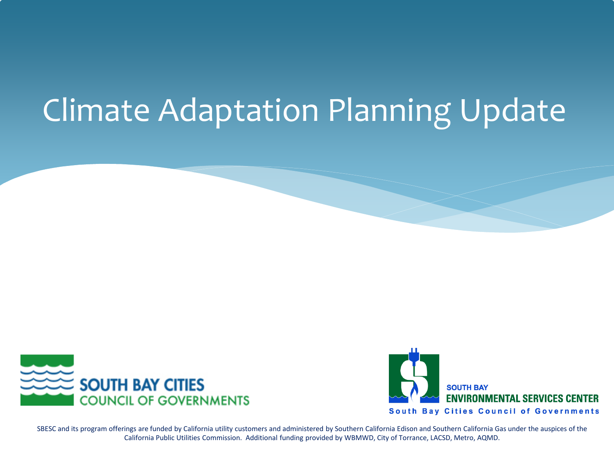## Climate Adaptation Planning Update





SBESC and its program offerings are funded by California utility customers and administered by Southern California Edison and Southern California Gas under the auspices of the California Public Utilities Commission. Additional funding provided by WBMWD, City of Torrance, LACSD, Metro, AQMD.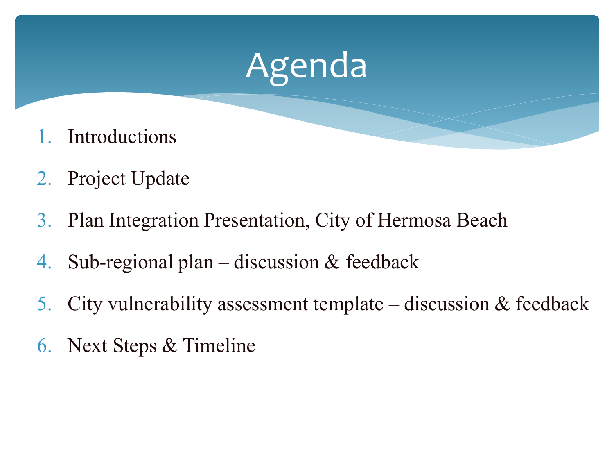

- 2. Project Update
- 3. Plan Integration Presentation, City of Hermosa Beach
- 4. Sub-regional plan discussion & feedback
- 5. City vulnerability assessment template discussion & feedback
- 6. Next Steps & Timeline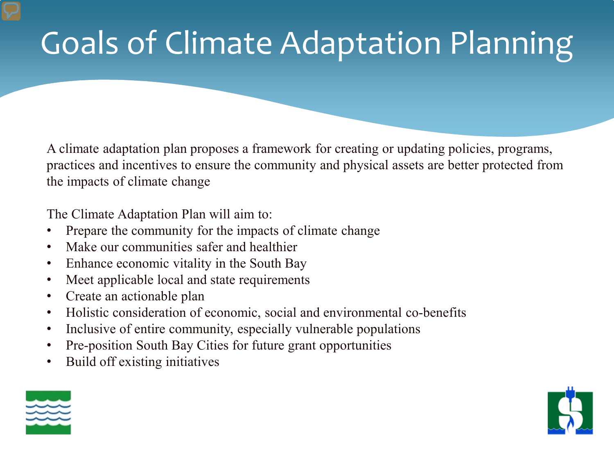# Goals of Climate Adaptation Planning

A climate adaptation plan proposes a framework for creating or updating policies, programs, practices and incentives to ensure the community and physical assets are better protected from the impacts of climate change

The Climate Adaptation Plan will aim to:

- Prepare the community for the impacts of climate change
- Make our communities safer and healthier
- Enhance economic vitality in the South Bay
- Meet applicable local and state requirements
- Create an actionable plan
- Holistic consideration of economic, social and environmental co-benefits
- Inclusive of entire community, especially vulnerable populations
- Pre-position South Bay Cities for future grant opportunities
- Build off existing initiatives



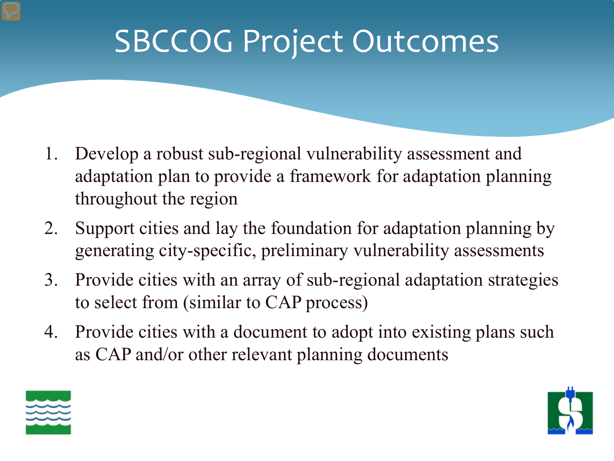### SBCCOG Project Outcomes

- 1. Develop a robust sub-regional vulnerability assessment and adaptation plan to provide a framework for adaptation planning throughout the region
- 2. Support cities and lay the foundation for adaptation planning by generating city-specific, preliminary vulnerability assessments
- 3. Provide cities with an array of sub-regional adaptation strategies to select from (similar to CAP process)
- 4. Provide cities with a document to adopt into existing plans such as CAP and/or other relevant planning documents



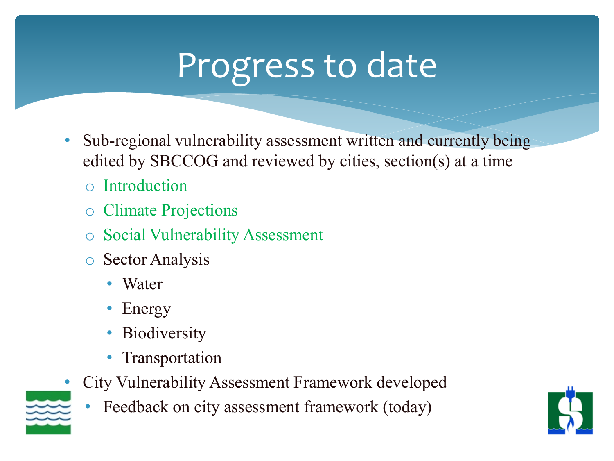# Progress to date

- Sub-regional vulnerability assessment written and currently being edited by SBCCOG and reviewed by cities, section(s) at a time
	- o Introduction
	- o Climate Projections
	- o Social Vulnerability Assessment
	- o Sector Analysis
		- Water
		- Energy
		- **Biodiversity**
		- Transportation
- City Vulnerability Assessment Framework developed
	- Feedback on city assessment framework (today)



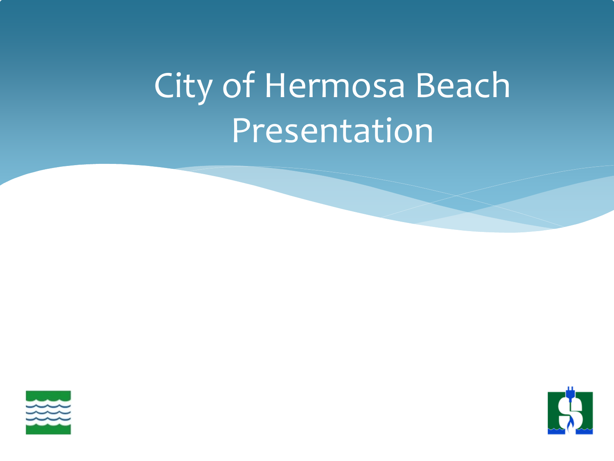# City of Hermosa Beach Presentation



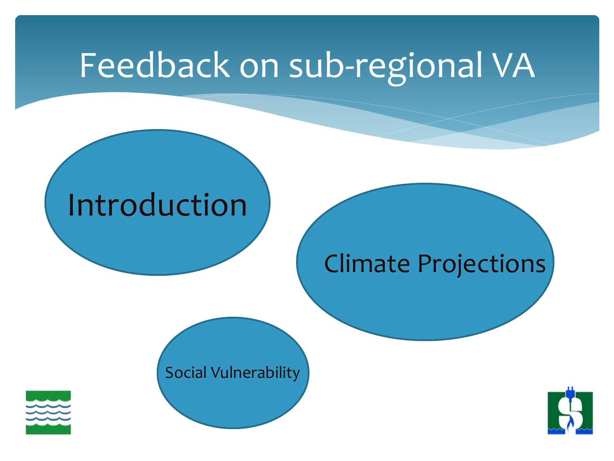## Feedback on sub-regional VA

#### Introduction

#### Climate Projections

#### Social Vulnerability



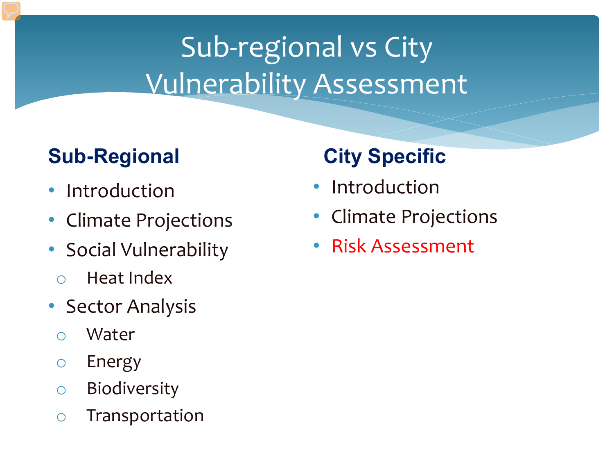### Sub-regional vs City Vulnerability Assessment

#### **Sub-Regional**

- Introduction regionaltext
- Climate Projections
- Social Vulnerability
	- o Heat Index
- Sector Analysis
	- o Water
	- o Energy
	- o Biodiversity
	- o Transportation

#### **City Specific**

- Introduction
- Climate Projections
- Risk Assessment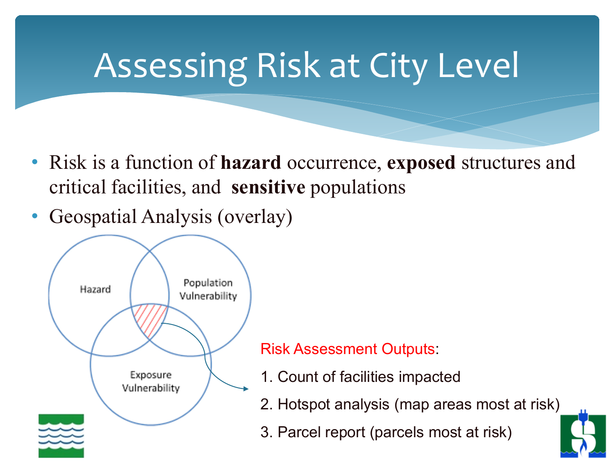# Assessing Risk at City Level

- Risk is a function of **hazard** occurrence, **exposed** structures and critical facilities, and **sensitive** populations
- Geospatial Analysis (overlay)



#### Risk Assessment Outputs:

- 1. Count of facilities impacted
- 2. Hotspot analysis (map areas most at risk)
- 3. Parcel report (parcels most at risk)

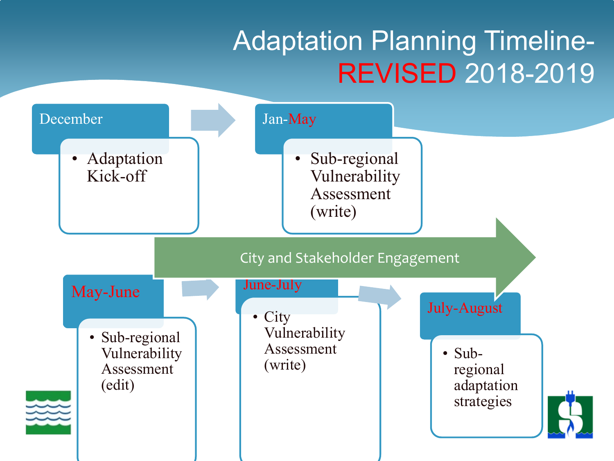#### Adaptation Planning Timeline-REVISED 2018-2019

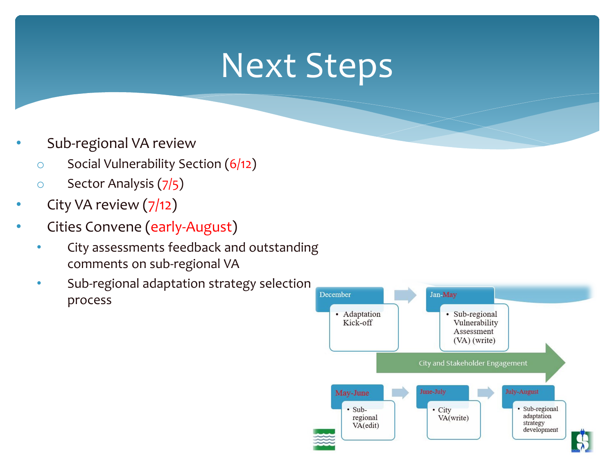### Next Steps

- Sub-regional VA review
	- $\circ$  Social Vulnerability Section (6/12)
	- o Sector Analysis (7/5)
- City VA review (7/12)
- Cities Convene (early-August)
	- City assessments feedback and outstanding comments on sub-regional VA
	- Sub-regional adaptation strategy selection process